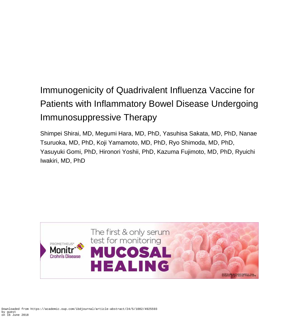# Immunogenicity of Quadrivalent Influenza Vaccine for Patients with Inflammatory Bowel Disease Undergoing Immunosuppressive Therapy

Shimpei Shirai, MD, Megumi Hara, MD, PhD, Yasuhisa Sakata, MD, PhD, Nanae Tsuruoka, MD, PhD, Koji Yamamoto, MD, PhD, Ryo Shimoda, MD, PhD, Yasuyuki Gomi, PhD, Hironori Yoshii, PhD, Kazuma Fujimoto, MD, PhD, Ryuichi Iwakiri, MD, PhD

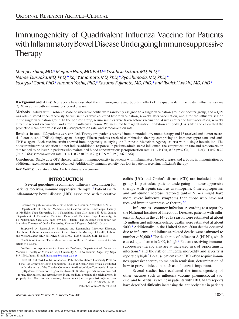## Immunogenicity of Quadrivalent Influenza Vaccine for Patients with Inflammatory Bowel Disease Undergoing Immunosuppressive **Therapy**

*Shimpei Shirai, MD,[\\*](#page-1-0) Megumi Hara, MD, PhD[,†,](#page-1-1) [\\*](#page-1-0) Yasuhisa Sakata, MD, PhD,[\\*](#page-1-0) Nanae Tsuruoka, MD, PhD,[\\*](#page-1-0) Koji Yamamoto, MD, PhD[,\\*](#page-1-0) Ryo Shimoda, MD, PhD,[\\*](#page-1-0) Yasuyuki Gomi, PhD,[‡](#page-1-2) Hironori Yoshii, PhD[,‡](#page-1-2) Kazuma Fujimoto, MD, PhD,[\\*](#page-1-0) and Ryuichi Iwakiri, MD, Ph[D\\*](#page-1-0)*

**Background and Aims:** No reports have described the immunogenicity and boosting effect of the quadrivalent inactivated influenza vaccine (QIV) in adults with inflammatory bowel disease.

**Methods:** Adults with Crohn's disease or ulcerative colitis were randomly assigned to a single vaccination group or booster group, and a QIV was administered subcutaneously. Serum samples were collected before vaccination, 4 weeks after vaccination, and after the influenza season in the single vaccination group. In the booster group, serum samples were taken before vaccination, 4 weeks after the first vaccination, 4 weeks after the second vaccination, and after the influenza season. We measured hemagglutination inhibition antibody (HAI) titer and calculated the geometric mean titer ratio (GMTR), seroprotection rate, and seroconversion rate.

**Results:** In total, 132 patients were enrolled. Twenty-two patients received immunomodulatory monotherapy and 16 received anti-tumor necrosis factor-α (anti-TNF-α) single-agent therapy. Fifteen patients received combination therapy comprising an immunosuppressant and anti-TNF-α agent. Each vaccine strain showed immunogenicity satisfying the European Medicines Agency criteria with a single inoculation. The booster influenza vaccination did not induce additional response. In patients administered infliximab, the seroprotection rate and seroconversion rate tended to be lower in patients who maintained blood concentrations [seroprotection rate: H1N1: OR, 0.37 (95% CI, 0.11–1.21); H3N2: 0.22 (0.07–0.68); seroconversion rate: H1N1: 0.23 (0.06–0.91); H3N2: 0.19 (0.06–0.56)].

**Conclusion:** Single dose QIV showed sufficient immunogenicity in patients with inflammatory bowel disease, and a boost in immunization by additional vaccination was not obtained. Additionally, immunogenicity was low in patients receiving infliximab therapy.

**Key Words:** ulcerative colitis, Crohn's disease, vaccination

## **INTRODUCTION**

Several guidelines recommend influenza vaccination for patients receiving immunosuppressive therapy.<sup>[1,](#page-9-0) [2](#page-9-1)</sup> Patients with inflammatory bowel disease (IBD) associated with ulcerative

<span id="page-1-2"></span>Supported by: Research on Emerging and Reemerging Infectious Diseases, Health and Labour Sciences Research Grants from the Ministry of Health, Labour and Welfare, Japan [H27 SHINKO SHITEI 003, H28 SHINKO SHITEI 003]

Conflicts of interest: The authors have no conflicts of interest relevant to this article to disclose.

\*Address correspondence to: Associate Professor, Department of Preventive Medicine, Faculty of Medicine, Saga University, 5-1-1 Nabeshima, Saga City, Saga 849–8501, Japan. E-mail: [harameg@cc.saga-u.ac.jp](mailto:harameg@cc.saga-u.ac.jp?subject=)

© 2018 Crohn's & Colitis Foundation. Published by Oxford University Press on behalf of Crohn's & Colitis Foundation. This is an Open Access article distributed under the terms of the Creative Commons Attribution Non-Commercial License (http://creativecommons.org/licenses/by-nc/4.0/), which permits non-commercial re-use, distribution, and reproduction in any medium, provided the original work is properly cited. For commercial re-use, please contact journals.permissions@oup.com doi: 10.1093/ibd/izx101

Published online 9 March 2018

 $I$ nflamm Bowel Dis $\bullet$  Volume 24, Number 5, May 2018  $1082$ 

colitis (UC) and Crohn's disease (CD) are included in this group. In particular, patients undergoing immunosuppressive therapy with agents such as azathioprine, 6-mercaptopurine, and anti-tumor necrosis factor- $\alpha$  (anti-TNF- $\alpha$ ) might have more severe influenza symptoms than those who have not received immunosuppressive therapy.<sup>[3–5](#page-9-2)</sup>

Influenza is a common infection. According to a report by the National Institute of Infectious Diseases, patients with influenza in Japan in the 2014–2015 season were estimated at about 15 million and influenza-related deaths were estimated at about 5000[.3](#page-9-2) Additionally, in the United States, 8000 deaths occurred due to influenza and influenza-related deaths were estimated to number > 50,000.<sup>4</sup> The death rate of influenza A (H1N1), which caused a pandemic in 2009, is high.<sup>5</sup> Patients receiving immunosuppressive therapy also are at increased risk of opportunistic infections,<sup>6</sup> and the risk of influenza morbidity and severity is reportedly high.<sup>7</sup> Because patients with IBD often require immunosuppressive therapy to maintain remission, determination of how to prevent infections such as influenza is important.

Several studies have evaluated the immunogenicity of other vaccines such as influenza vaccine, pneumococcal vaccine, and hepatitis B vaccine in patients with IBD. Many reports have described difficulty increasing the antibody titer in patients

<span id="page-1-0"></span>Received for publications July 9, 2017; Editorial Decision November 5, 2017.

<span id="page-1-1"></span>Departments of Internal Medicine and Gastrointestinal Endoscopy, Faculty of Medicine, Saga University, 5-1-1 Nabeshima, Saga City, Saga 849–8501, Japan; † Department of Preventive Medicine, Faculty of Medicine, Saga University, 5- 1-1 Nabeshima, Saga City, Saga 849–8501, Japan; <sup>†</sup>The Research Foundation for Microbial Diseases of Osaka University, Kannonji Kagawa, 768-0061, Japan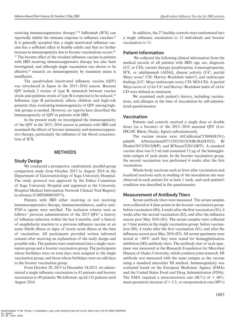receiving immunosuppressive therapy.[8–14](#page-9-7) Infliximab (IFX) can reportedly inhibit the immune response to influenza vaccines.[15](#page-9-8) It is generally accepted that a single inactivated influenza vaccine has a sufficient effect in healthy adults and that no further increase in immunogenicity due to booster vaccinations occurs.<sup>16,</sup> <sup>[17](#page-10-1)</sup> The booster effect of the trivalent influenza vaccine in patients with IBD receiving immunosuppressive therapy has also been investigated, and although single vaccination was shown to be effective,<sup>18</sup> research on immunogenicity by treatment status is insufficient.

The quadrivalent inactivated influenza vaccine (QIV) was introduced in Japan in the 2015-2016 season. Because QIV include 2 strains of type B, mismatch between vaccine strain and epidemic strain of type B is expected to be reduced.<sup>19</sup> Influenza type B particularly affects children and high-risk patients; thus, evaluating immunogenicity of QIV among highrisk groups is needed. However, no reports have described the immunogenicity of QIV in patients with IBD.

In the present study we investigated the immunogenicity of the QIV in the 2015–2016 season in patients with IBD and examined the effects of booster immunity and immunosuppressive therapy, particularly the influence of the blood concentration of IFX.

#### **METHODS**

#### **Study Design**

We conducted a prospective, randomized, parallel-group comparison study from October 2015 to August 2016 in the Department of Gastroenterology of Saga University Hospital. The study protocol was approved by the Ethics Committee of Saga University Hospital and registered at the University Hospital Medical Information Network Clinical Trial Registry in advance (UMIN000018975).

Patients with IBD either receiving or not receiving immunosuppressive therapy, immunomodulators, and/or anti-TNF- $\alpha$  agents were enrolled. The exclusion criteria were as follows:<sup>1</sup> previous administration of the 2015 QIV,<sup>2</sup> a history of influenza infection within the last 6 months, and<sup>3</sup> a history of anaphylactic reaction to a previous influenza vaccine or an acute febrile illness or signs of severe acute illness at the time of vaccination. All participants provided written informed consent after receiving an explanation of the study design and possible risks. The patients were randomized into a single vaccination group and a booster vaccination group. The participants whose birthdays were on even days were assigned to the single vaccination group, and those whose birthdays were on odd days to the booster vaccination group.

From October 20, 2015 to December 24,2015, we administered a single influenza vaccination to 83 patients and booster vaccination to 49 patients. We followed- up all 132 patients until August 2016.

In addition, the 27 healthy controls were randomized into a single influenza vaccination to 12 individuals and booster vaccination to 15.

#### **Patient Information**

 We collected the following clinical information from the medical records of all patients with IBD: age, sex, diagnosis (UC or CD), current therapy [azathioprine, 6-mercaptopurine, IFX, or adalimumab (ADA)], disease activity (UC: partial Mayo score,<sup>[8](#page-9-7)</sup> CD: Harvey–Bradshaw index<sup>9</sup>), and endoscopic findings (UC: Mayo endoscopic score, CD: SES-CD). A partial Mayo score of ≤2 for UC and Harvey–Bradshaw index of ≤4 for CD were defined as remission.

We examined each patient's history, including vaccinations, and allergies at the time of inoculation by self-administered questionnaires.

#### **Vaccination**

Patients and controls received a single dose or double doses (as a booster) of the 2015-2016 seasonal QIV (Lot: HK24C Biken, Osaka, Japan) subcutaneously.

The vaccine strains were A/California/7/2009(H1N1) pdm09, A/Switzerland/9715293/2013(NIB-88)(H3N2), B/ Phuket/3073/2013(B/P), and B/Texas/2/2013(B/T). A standard vaccine dose was 0.5 ml and contained 15 μg of the hemagglutinin antigen of each strain. In the booster vaccination group, the second vaccination was performed 4 weeks after the first vaccination.

Whole-body reactions such as fever after vaccination and localized reactions such as swelling of the inoculation site were observed in each patient for at least 1 week, and each patient's condition was described in the questionnaire.

#### **Measurement of Antibody Titers**

Serum antibody titers were measured. The serum samples were collected at 4 time points in the booster vaccination group: before vaccination (S0), 4 weeks after the first vaccination (S1), 4 weeks after the second vaccination (S2), and after the influenza season post May 2016 (S3). The serum samples were collected at 3 time points in the single vaccination group: before vaccination (S0), 4 weeks after the first vaccination (S1), and after the influenza season post May 2016 (S3). All serum specimens were stored at −80ºC until they were tested for hemagglutination inhibition (HI) antibody titers. The antibody titer of each specimen was measured at the Research Foundation for Microbial Disease of Osaka University, which conducts joint research. HI antibody was measured with the same antigen as the vaccine using a standard microtiter HI method. Immunogenicity was evaluated based on the European Medicines Agency (EMA) and the United States Food and Drug Administration (FDA). The EMA required a seroconversion rate (SC%) of  $> 40\%$ , mean geometric increase of  $> 2.5$ , or seroprotection rate (SP%)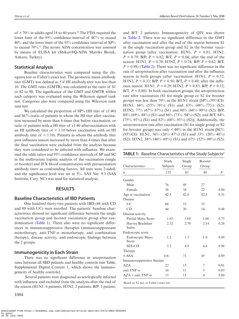*Shirai et al* Inflamm Bowel Dis • Volume 24, Number 5, May 2018

of  $> 70\%$  in adults aged 18 to 60 years.<sup>[10](#page-9-10)</sup> The FDA required the lower limit of the 95% confidence interval of SC% to exceed 40% and the lower limit of the 95% confidence interval of SP% to exceed 70%[.11](#page-9-11) The serum ADA concentration was assessed by means of ELISA kit (Shikari®Q-ADA Matriks Biotek, Ankara, Turkey).

### **Statistical Analysis**

Baseline characteristics were compared using the chisquare test or Fisher's exact test. The geometric mean antibody titer (GMT) was defined as 5 if HI antibody titer was less than 10. The GMT ratio (GMTR) was calculated as the ratio of S1 or S2 to S0. The significance of the GMT and GMTR within each category was evaluated using the Wilcoxon signed rank test. Categories also were compared using the Wilcoxon rank sum test.

We calculated the proportion of  $SP%$  (HI titer of  $\geq 1:40$ ) and SC% (ratio of patients in whom the HI titer after vaccination increased by more than 4 times that before vaccination, or ratio of patients with a HI titer of ≥1:40 aftervaccination with an HI antibody titer of < 1:10 before vaccination with an HI antibody titer of  $\leq$  1:10). Patients in whom the antibody titer post influenza season increased by more than 4 times that after the final vaccination were excluded from the analysis because they were considered to be infected with influenza. We examined the odds ratios and 95% confidence intervals of SP and SC in the multivariate logistic analysis of the vaccination (single or booster) and IFX blood concentrations with prevaccination antibody titers as confounding factors. All tests were 2-sided, and the significance level was set at 5%. SAS Ver. 9.3 (SAS Institute, Cary, NC) was used for statistical analysis.

#### **RESULTS**

#### **Baseline Characteristics of IBD Patients**

One hundred thirty-two patients with IBD (44 with CD and 88 with UC) were enrolled. The patients' baseline characteristics showed no significant difference between the single vaccination group and booster vaccination group after randomization (Table 1). There also were no significant differences in immunosuppressive therapies (immunosuppressant monotherapy, anti-TNF- $\alpha$  monotherapy, and combination therapy), disease activity, and endoscopic findings between the 2 groups.

#### **Immunogenicity in Each Strain**

There was no significant difference in seroprotection rates between all IBD patients and healthy controls (see Table, Supplemental Digital Content 1, which shows the immunogenicity of healthy controls).

 Several patients were diagnosed as serologically infected with influenza and excluded from the analysis after the end of the season (H1N1: 6 patients, H3N2: 2 patients, B/P: 1 patient,

and B/T: 2 patients). Immunogenicity of QIV was shown in [Table 2.](#page-4-0) There was no significant difference in the GMT after vaccination and after the end of the season between S1 in the single vaccination group and S2 in the booster vaccination group (after vaccination: H1N1,  $P = 0.81$ ; H3N2, *P* = 0.79; B/P, *P* = 0.82; B/T, *P* = 0.84; after the end of the season: H1N1, *P* = 0.39; H3N2, *P* = 0.74; B/P, *P* = 0.62; B/T,  $P = 0.98$ ) ([Table 2\)](#page-4-0). There was no significant difference in the rate of seroprotection after vaccination and after the influenza season in both groups (after vaccination: H1N1,  $P = 0.72$ ; H3N2, *P* = 0.33; B/P, *P* = 0.56; B/T, *P* = 0.49; after the influenza season: H1N1, *P* = 0.29; H3N2, *P* = 0.83; B/P, *P* = 0.12; B/T,  $P = 0.88$ ). In both vaccination groups, the seroprotection rate after vaccination (S1 for single group or S2 for booster group) was less than  $70\%$  in the H1N1 strain [SP% (95%CI): H1N1, 66% (55%–76%) (S1) and 63% (48%–77%) (S2); H3N2, 77% (67%–87%) (S1) and 80% (66%–90%) (S2); B/P, 80% (69%–88%) (S1) and 86% (73%–94%) (S2); and B/T, 84% (75%–91%) (S1) and 82% (68%–91%) (S2)]. Additionally, the seroconversion rate after vaccination (S1 for single group or S2 for booster group) was only  $\leq 40\%$  in the H1N1 strain [SC% (95%CI): H1N1, 36% (26%–47%) (S1) and 33% (20%–48%) (S2); H3N2, 58% (46%–69%) (S1) and 67% (52%–80%) (S2);

#### <span id="page-3-0"></span>**TABLE 1:** Baseline Characteristics of the Study Subjects<sup>a</sup>

|                           | Study    | Single | <b>Booster</b> |                |
|---------------------------|----------|--------|----------------|----------------|
| Characteristics           | Subjects | Group  | Group          |                |
| n                         | 132      | 83     | 49             | $\overline{P}$ |
| Gender                    |          |        |                |                |
| Male                      | 76       | 49     | 27             |                |
| Female                    | 56       | 34     | 22             | 0.80           |
| Age at vaccination        | 42.5     | 42.6   | 42.3           | 0.51           |
| <b>Disease</b>            |          |        |                |                |
| <b>UC</b>                 | 88       | 53     | 35             |                |
| CD                        | 44       | 30     | 14             | 0.48           |
| Disease activity          |          |        |                |                |
| Partial Mayo Score        | 1.65     | 1.64   | 1.66           | 0.75           |
| Harvey Bradshaw<br>Index  | 2.52     | 2.70   | 2.14           | 0.26           |
| Endoscopic score          |          |        |                |                |
| Endoscopic Mayo<br>Score  | 1.2      | 1.3    | 1.0            | 0.09           |
| <b>SES-CD</b>             | 5.2      | 4.9    | 4.6            | 0.96           |
| Therapy                   |          |        |                |                |
| 5-ASA                     | 116      | 71     | 45             | 0.89           |
| Immunosuppressive therapy |          |        |                |                |
| AZA                       | 22       | 15     | 7              | 0.81           |
| anti TNF- $\alpha$        | 16       | 11     | 5              | 0.85           |
| $AZA + anti TNF-\alpha$   | 15       | 11     | 4              | 0.60           |

a Based on X2 test, or Fisher's exact test.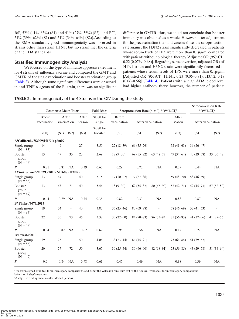B/P, 52% (41%–63%) (S1) and 41% (27%–56%) (S2); and B/T, 51% (39%–62%) (S1) and 51% (34%–64%) (S2)].According to the EMA standards, good immunogenicity was observed in strains other than strain H1N1, but no strain met the criteria of the FDA standards.

## **Stratified Immunogenicity Analysis**

We focused on the type of immunosuppressive treatment for 4 strains of influenza vaccine and compared the GMT and GMTR of the single vaccination and booster vaccination group [\(Table 3](#page-5-0)). Although some significant differences were observed in anti-TNF- $\alpha$  agents of the B strain, there was no significant

difference in GMTR; thus, we could not conclude that booster immunity was obtained as a whole. However, after adjustment for the prevaccination titer and vaccine dose, the seroprotection rate against the H3N2 strain significantly decreased in patients whose serum levels of IFX were more than 0.1μg/ml compared with patients without biological therapy [Adjusted OR (95%CI): 0.22 (0.07%–0.68)]. Regarding seroconversion, adjusted ORs of H1N1 strain and H3N2 strain were significantly decreased in patients whose serum levels of IFX were more than 0.1μg/ml [Adjusted OR (95%CI): H1N1, 0.23 (0.06–0.91); H3N2, 0.19  $(0.06-0.56)$ ] (Table 4). Patients with a high ADA blood level had higher antibody titers; however, the number of patients

## <span id="page-4-0"></span>**TABLE 2:** Immunogenicity of the 4 Strains in the QIV During the Study

|                                          |                       | Geometric Mean Titer <sup>a</sup> |                          |                 | Fold Rise <sup>a</sup> |                       | Seroprotection Rate ( $\geq$ 1:40), %(95%CI) <sup>b</sup> |                          |                 |              | Seroconversion Rate,<br>$\%$ (95%CI) <sup>c</sup> |
|------------------------------------------|-----------------------|-----------------------------------|--------------------------|-----------------|------------------------|-----------------------|-----------------------------------------------------------|--------------------------|-----------------|--------------|---------------------------------------------------|
|                                          | Before<br>vaccination |                                   | After<br>vaccination     | After<br>season | S1/S0 for<br>single    | Before<br>vaccination |                                                           | After vaccination        | After<br>season |              | After vaccination                                 |
|                                          | (S <sub>0</sub> )     | (S1)                              | (S2)                     | (S3)            | S2/S0 for<br>booster   | (S <sub>0</sub> )     | (S1)                                                      | (S2)                     | (S3)            | (S1)         | (S2)                                              |
| A/California/7/2009(H1N1) pdm09          |                       |                                   |                          |                 |                        |                       |                                                           |                          |                 |              |                                                   |
| Single group<br>$(N = 83)$               | 14                    | 49                                | $\overline{\phantom{a}}$ | 27              | 3.50                   | $27(18-39)$           | $66(55-76)$                                               | $\overline{a}$           | 52 $(41-63)$    | $36(26-47)$  | $\overline{\phantom{a}}$                          |
| <b>Booster</b><br>group<br>$(N = 49)$    | 13                    | 47                                | 35                       | 23              | 2.69                   | $18(9-30)$            | $69(55-82)$                                               | $63(48-77)$              | $49(34 - 64)$   | 43 $(29-58)$ | $33(20-48)$                                       |
| $\overline{P}$                           | 0.81                  | 0.81                              | <b>NA</b>                | 0.39            | 0.67                   | 0.29                  | 0.72                                                      | <b>NA</b>                | 0.29            | 0.44         | NA                                                |
| A/Switzerland/9715293/2013(NIB-88)(H3N2) |                       |                                   |                          |                 |                        |                       |                                                           |                          |                 |              |                                                   |
| Single group<br>$(N = 83)$               | 13                    | 67                                |                          | 40              | 5.15                   | $17(10-27)$           | $77(67 - 86)$                                             | $\overline{a}$           | 59 $(48-70)$    | 58 $(46-69)$ |                                                   |
| <b>Booster</b><br>group<br>$(N = 49)$    | 13                    | 63                                | 71                       | 40              | 5.46                   | $18(9-30)$            | $69(55-82)$                                               | $80(66-90)$              | $57(42 - 71)$   | 59 $(45-73)$ | $67(52 - 80)$                                     |
| $\overline{P}$                           | 0.44                  | 0.79                              | <b>NA</b>                | 0.74            | 0.35                   | 0.82                  | 0.33                                                      | NA                       | 0.83            | 0.87         | NA                                                |
| <b>B/ Phuket/3073/2013</b>               |                       |                                   |                          |                 |                        |                       |                                                           |                          |                 |              |                                                   |
| Single group<br>$(N = 83)$               | 19                    | 74                                | $\overline{\phantom{a}}$ | 40              | 3.82                   | $35(25-46)$           | $80(69 - 88)$                                             | $\overline{\phantom{a}}$ | 58 (46-69)      | 52 $(41-63)$ |                                                   |
| <b>Booster</b><br>group<br>$(N = 49)$    | 22                    | 76                                | 73                       | 45              | 3.38                   | $35(22 - 50)$         | $84(70-83)$                                               | $86(73-94)$              | $71(56-83)$     | 41 $(27-56)$ | 41 $(27-56)$                                      |
| $\overline{P}$                           | 0.34                  | 0.82                              | <b>NA</b>                | 0.62            | 0.62                   | 0.98                  | 0.56                                                      | NA                       | 0.12            | 0.22         | NA                                                |
| <b>B/Texas/2/2013</b>                    |                       |                                   |                          |                 |                        |                       |                                                           |                          |                 |              |                                                   |
| Single group<br>$(N = 83)$               | 19                    | 76                                | $\overline{\phantom{a}}$ | 50              | 4.06                   | $33(23-44)$           | $84(75-91)$                                               | $\overline{a}$           | $75(64 - 84)$   | 51 $(39-62)$ | $\overline{\phantom{a}}$                          |
| <b>Booster</b><br>group<br>$(N = 49)$    | 20                    | 77                                | 72                       | 50              | 3.67                   | $39(25-54)$           | $80(66-90)$                                               | $82(68-91)$              | $73(59 - 85)$   | 43 $(29-58)$ | 51 $(34-64)$                                      |
| $\boldsymbol{P}$                         | 0.6                   | 0.84                              | <b>NA</b>                | 0.98            | 0.61                   | 0.47                  | 0.49                                                      | <b>NA</b>                | 0.88            | 0.39         | <b>NA</b>                                         |

a Wilcoxon signed-rank test for intracategory comparisons, and either the Wilcoxon rank-sum test or the Kruskal-Wallis test for intercategory comparisons.

<sup>b</sup>χ<sup>2</sup> test or Fisher's exact test.

c Analysis excluding subclinically infected persons.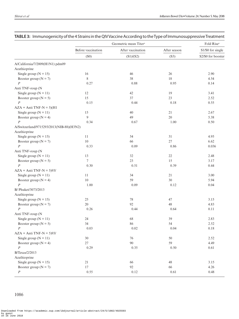|                                          |                    | Geometric mean Titer <sup>a</sup> |              | Fold Rise <sup>a</sup> |
|------------------------------------------|--------------------|-----------------------------------|--------------|------------------------|
|                                          | Before vaccination | After vaccination                 | After season | S1/S0 for single       |
|                                          | (S <sub>0</sub> )  | (S1)/(S2)                         | (S3)         | S2/S0 for booster      |
| A/California/7/2009(H1N1) pdm09          |                    |                                   |              |                        |
| Azathioprine                             |                    |                                   |              |                        |
| Single group ( $N = 15$ )                | 16                 | 46                                | 26           | 2.90                   |
| Booster group ( $N = 7$ )                | 8                  | 38                                | 18           | 4.54                   |
| $\boldsymbol{P}$                         | 0.27               | 0.88                              | 0.95         | 0.14                   |
| Anti TNF-roup (N                         |                    |                                   |              |                        |
| Single group ( $N = 11$ )                | 12                 | 42                                | 19           | 3.41                   |
| Booster group $(N = 5)$                  | 15                 | 37                                | 23           | 2.52                   |
| $\boldsymbol{P}$                         | 0.15               | 0.44                              | 0.18         | 0.55                   |
| $AZA + Anti TNF-N = 5)(H1$               |                    |                                   |              |                        |
| Single group ( $N = 11$ )                | 15                 | 40                                | 21           | 2.67                   |
| Booster group $(N = 4)$                  | 9                  | 49                                | 20           | 5.38                   |
| $\boldsymbol{P}$                         | 0.34               | 0.67                              | 1.00         | 0.50                   |
| A/Switzerland/9715293/2013(NIB-88)(H3N2) |                    |                                   |              |                        |
| Azathioprine                             |                    |                                   |              |                        |
| Single group ( $N = 15$ )                | 11                 | 54                                | 31           | 4.95                   |
| Booster group ( $N = 7$ )                | 10                 | 66                                | 27           | 6.62                   |
| $\boldsymbol{P}$                         | 0.33               | 0.09                              | 0.86         | 0.036                  |
| Anti TNF-roup (N                         |                    |                                   |              |                        |
| Single group $(N = 11)$                  | 13                 | 32                                | $22\,$       | 2.48                   |
| Booster group ( $N = 5$ )                | $\overline{7}$     | 23                                | 15           | 3.17                   |
| $\boldsymbol{P}$                         | 0.30               | 0.51                              | 0.39         | 0.44                   |
| $AZA + Anti TNF-N = 5993/$               |                    |                                   |              |                        |
| Single group ( $N = 11$ )                | $1\,1$             | 34                                | 21           | 3.00                   |
| Booster group ( $N = 4$ )                | 10                 | 59                                | 30           | 5.94                   |
| $\boldsymbol{P}$                         | 1.00               | 0.09                              | 0.12         | 0.04                   |
| B/ Phuket/3073/2013                      |                    |                                   |              |                        |
| Azathioprine                             |                    |                                   |              |                        |
| Single group ( $N = 15$ )                | $25\,$             | $78\,$                            | 47           | 3.15                   |
| Booster group ( $N = 7$ )                | 20                 | 92                                | 48           | 4.83                   |
| $\boldsymbol{P}$                         | 0.26               | 0.44                              | 0.64         | 0.11                   |
| Anti TNF-roup (N                         |                    |                                   |              |                        |
| Single group $(N = 11)$                  | 24                 | 68                                | 39           | 2.83                   |
| Booster group ( $N = 5$ )                | 34                 | 86                                | 54           | 2.52                   |
| $\boldsymbol{P}$                         | 0.03               | 0.02                              | 0.04         | 0.18                   |
| $AZA + Anti TNF-N = 5993/$               |                    |                                   |              |                        |
| Single group $(N = 11)$                  | $30\,$             | 76                                | 50           | 2.52                   |
| Booster group $(N = 4)$                  | 27                 | 90                                | 59           | 4.49                   |
| $\boldsymbol{P}$                         | 0.29               | 0.35                              | $0.50\,$     | $0.61\,$               |
| B/Texas/2/2013                           |                    |                                   |              |                        |
| Azathioprine                             |                    |                                   |              |                        |
| Single group ( $N = 15$ )                | 21                 | 66                                | $48\,$       | 3.15                   |
| Booster group ( $N = 7$ )                | $17\,$             | 92                                | 66           | 4.26                   |
| $\boldsymbol{P}$                         | 0.55               | 0.12                              | $0.61\,$     | 0.48                   |
|                                          |                    |                                   |              |                        |

## <span id="page-5-0"></span>**TABLE 3:** Immunogenicity of the 4 Strains in the QIV Vaccine According to the Type of Immunosuppressive Treatment

1086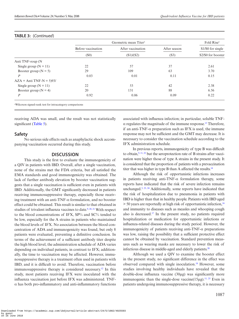## **TABLE 3:** (*Continued*)

|                           |                    | Geometric mean Titer <sup>a</sup> |              | Fold Rise <sup>a</sup>                     |
|---------------------------|--------------------|-----------------------------------|--------------|--------------------------------------------|
|                           | Before vaccination | After vaccination                 | After season | S1/S0 for single                           |
|                           | (S0)               | (S1)/(S2)                         | (S3)         | S <sub>2</sub> /S <sub>0</sub> for booster |
| Anti TNF-roup (N          |                    |                                   |              |                                            |
| Single group ( $N = 11$ ) | 22                 | 57                                | 37           | 2.61                                       |
| Booster group ( $N = 5$ ) | 29                 | 109                               | 63           | 3.70                                       |
| $\boldsymbol{P}$          | 0.03               | 0.01                              | 0.11         | 0.15                                       |
| $AZA + Anti TNF-N = 593/$ |                    |                                   |              |                                            |
| Single group $(N = 11)$   | 22                 | 53                                | 42           | 2.38                                       |
| Booster group $(N = 4)$   | 20                 | 131                               | 88           | 6.56                                       |
| $\boldsymbol{P}$          | 0.92               | 0.06                              | 0.09         | 0.22                                       |

a Wilcoxon signed-rank test for intracategory comparisons

receiving ADA was small, and the result was not statistically significant ([Table 5\)](#page-8-0).

#### **Safety**

No serious side effects such as anaphylactic shock accompanying vaccination occurred during this study.

#### **DISCUSSION**

This study is the first to evaluate the immunogenicity of a QIV in patients with IBD. Overall, after a single vaccination, none of the strains met the FDA criteria, but all satisfied the EMA standards and good immunogenicity was obtained. The lack of further antibody elevation by booster vaccination suggests that a single vaccination is sufficient even in patients with IBD. Additionally, the GMT significantly decreased in patients receiving immunosuppressive therapy, especially those receiving treatment with an anti-TNF- $\alpha$  formulation, and no booster effect could be obtained. This result is similar to that obtained in studies of trivalent influenza vaccines to date.<sup>9, [20](#page-10-4), 21</sup> With respect to the blood concentrations of IFX, SP% and SC% tended to be low, especially for the A strains in patients who maintained the blood levels of IFX. No association between the blood concentration of ADA and immunogenicity was found, but only 8 patients were evaluated, preventing a definitive conclusion. In terms of the achievement of a sufficient antibody titer despite the high blood level, the administration schedule of ADA varies depending on individual patients, in contrast to IFX; additionally, the time to vaccination may be affected. However, immunosuppressive therapy is a treatment often used in patients with IBD, and it is difficult to avoid. Therefore, vaccination before immunosuppressive therapy is considered necessary.<sup>12</sup> In this study, most patients receiving IFX were inoculated with the influenza vaccination just before IFX was administered. TNFα has both pro-inflammatory and anti-inflammatory functions

associated with influenza infection; in particular, soluble TNF- $\alpha$  regulates the magnitude of the immune response.<sup>13</sup> Therefore, if an anti-TNF- $\alpha$  preparation such as IFX is used, the immune response may not be sufficient and the GMT may decrease. It is necessary to consider the vaccination schedule according to the IFX administration schedule.

In previous reports, immunogenicity of type B was difficult to obtain,  $9, 11, 22$  $9, 11, 22$  $9, 11, 22$  $9, 11, 22$  $9, 11, 22$  but the seroprotection rate of B strains after vaccination were higher those of type A strains in the present study. It is considered that the proportion of patients with a prevaccination titer that was higher in type B than A affected the results.<sup>[14](#page-9-14)</sup>

Although the risk of opportunistic infections increases in patients receiving anti-TNF- $\alpha$  formulation therapy, some reports have indicated that the risk of severe infection remains unchanged.[5](#page-9-4), [23,](#page-10-7) [24](#page-10-8) Additionally, some reports have indicated that the risk of hospitalization due to pneumonia in patients with IBD is higher than that in healthy people. Patients with IBD aged  $>$  50 years are reportedly at high risk of opportunistic infection,  $16$ and immunity to diseases such as measles and whooping cough also is decreased.[17](#page-10-1) In the present study, no patients required hospitalization or medication for opportunistic infections or influenza-related diseases during the study period. However, the immunogenicity of patients receiving anti-TNF-α preparations was low, raising the possibility that a sufficient protective effect cannot be obtained by vaccination. Standard prevention measures such as wearing masks are necessary to lower the risk of infectious disease in middle-aged and elderly patients[.20](#page-10-4)

Although we used a QIV to examine the booster effect in the present study, no significant difference in the effect was observed compared with single inoculation[.18](#page-10-2) However, some studies involving healthy individuals have revealed that the double-dose influenza vaccine (30μg) was significantly more immunogenic than the single-dose vaccine $(15 \mu g)$ .<sup>11, 25</sup> Even in patients undergoing immunosuppressive therapy, it is necessary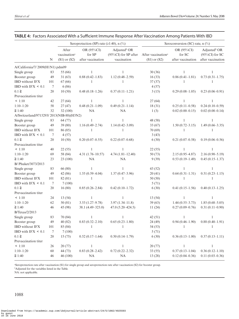|                                          |     |                                                       | Seroprotection (SP) rate $(\geq 1:40)$ , n $(\frac{9}{0})$ |                                                                 |                                                    | Seroconversion (SC) rate, n (%)           |                                                                    |
|------------------------------------------|-----|-------------------------------------------------------|------------------------------------------------------------|-----------------------------------------------------------------|----------------------------------------------------|-------------------------------------------|--------------------------------------------------------------------|
|                                          |     | After<br>vaccination <sup>a</sup><br>$(S1)$ or $(S2)$ | OR (95%CI)<br>for SP<br>after vaccination                  | Adjusted <sup>b</sup> OR<br>(95%CI) for SP after<br>vaccination | After vaccination <sup>a</sup><br>$(S1)$ or $(S2)$ | OR (95%CI)<br>for SC<br>after vaccination | Adjusted <sup>b</sup> OR<br>$(95\%CI)$ for SC<br>after vaccination |
|                                          | N   |                                                       |                                                            |                                                                 |                                                    |                                           |                                                                    |
| A/California/7/2009(H1N1) pdm09          |     |                                                       |                                                            |                                                                 |                                                    |                                           |                                                                    |
| Single group                             | 83  | 55 (66)                                               | 1                                                          | 1                                                               | 30(36)                                             | $\mathbf{1}$                              | 1                                                                  |
| Booster group                            | 49  | 31(63)                                                | $0.88(0.42 - 1.83)$                                        | $1.12(0.48 - 2.59)$                                             | 16(33)                                             | $0.86(0.41-1.81)$                         | $0.73(0.31-1.75)$                                                  |
| <b>IBD</b> without IFX                   | 101 | 67 (66)                                               | 1                                                          | 1                                                               | 37(37)                                             | 1                                         | 1                                                                  |
| IBD with $IFX < 0.1$                     | 7   | 6(86)                                                 |                                                            |                                                                 | 4(57)                                              |                                           |                                                                    |
| $0.1 \geq$                               | 20  | 10(50)                                                | $0.48(0.18-1.26)$                                          | $0.37(0.11-1.21)$                                               | 3(15)                                              | $0.29(0.08-1.05)$                         | $0.23(0.06-0.91)$                                                  |
| Prevaccination titer                     |     |                                                       |                                                            |                                                                 |                                                    |                                           |                                                                    |
| $-1:10$                                  | 42  | 27(64)                                                | 1                                                          | 1                                                               | 27(64)                                             | 1                                         | 1                                                                  |
| $1:10-1:20$                              | 58  | 27(47)                                                | $0.48(0.21-1.09)$                                          | $0.49(0.21-1.14)$                                               | 18(31)                                             | $0.25(0.11-0.58)$                         | $0.24(0.10-0.59)$                                                  |
| $\geq 1:40$                              | 32  | 32 (100)                                              | <b>NA</b>                                                  | <b>NA</b>                                                       | 1(3)                                               | $0.02(0.00-0.15)$                         | $0.02(0.00-0.14)$                                                  |
| A/Switzerland/9715293/2013(NIB-88)(H3N2) |     |                                                       |                                                            |                                                                 |                                                    |                                           |                                                                    |
| Single group                             | 83  | 64 (77)                                               | 1                                                          | 1                                                               | 48 (58)                                            | 1                                         | 1                                                                  |
| Booster group                            | 49  | 39 (80)                                               | $1.16(0.49-2.74)$                                          | $1.14(0.42 - 3.09)$                                             | 33(67)                                             | $1.50(0.72 - 3.15)$                       | $1.49(0.66 - 3.35)$                                                |
| <b>IBD</b> without IFX                   | 101 | 86 (85)                                               | 1                                                          | 1                                                               | 70 (69)                                            | $\mathbf{1}$                              | 1                                                                  |
| IBD with $IFX < 0.1$                     | 7   | 4(57)                                                 |                                                            |                                                                 | 3(43)                                              |                                           |                                                                    |
| $0.1 \geq$                               | 20  | 10(50)                                                | $0.20(0.07-0.55)$                                          | $0.22(0.07-0.68)$                                               | 6(30)                                              | $0.21(0.07-0.58)$                         | $0.19(0.06 - 0.56)$                                                |
| Prevaccination titer                     |     |                                                       |                                                            |                                                                 |                                                    |                                           |                                                                    |
| $-1:10$                                  | 40  | 22(55)                                                | 1                                                          | 1                                                               | 22(55)                                             | 1                                         | 1                                                                  |
| $1:10-1:20$                              | 69  | 58 (84)                                               | $4.31(1.76 - 10.57)$                                       | $4.74(1.81 - 12.40)$                                            | 50(73)                                             | $2.15(0.95 - 4.87)$                       | $2.16(0.90 - 5.19)$                                                |
| $\geq 1:40$                              | 23  | 23 (100)                                              | <b>NA</b>                                                  | <b>NA</b>                                                       | 9(39)                                              | $0.53(0.19-1.49)$                         | $0.45(0.15-1.37)$                                                  |
| B/ Phuket/3073/2013                      |     |                                                       |                                                            |                                                                 |                                                    |                                           |                                                                    |
| Single group                             | 83  | 66 (80)                                               | 1                                                          | 1                                                               | 43 (52)                                            | 1                                         | 1                                                                  |
| Booster group                            | 49  | 42 (86)                                               | $1.55(0.59-4.04)$                                          | $1.37(0.47-3.96)$                                               | 20(41)                                             | $0.64(0.31-1.31)$                         | $0.51(0.23 - 1.15)$                                                |
| <b>IBD</b> without IFX                   | 101 | 82 (81)                                               | $\mathbf{1}$                                               | 1                                                               | 50(50)                                             | $\mathbf{1}$                              | 1                                                                  |
| IBD with $IFX < 0.1$                     | 7   | 7(100)                                                |                                                            |                                                                 | 5(71)                                              |                                           |                                                                    |
| $0.1 \geq$                               | 20  | 16(80)                                                | $0.85(0.26-2.84)$                                          | $0.42(0.10-1.72)$                                               | 6(30)                                              | $0.41(0.15-1.56)$                         | $0.40(0.13-1.25)$                                                  |
| Prevaccination titer                     |     |                                                       |                                                            |                                                                 |                                                    |                                           |                                                                    |
| < 1:10                                   | 24  | 13(54)                                                | 1                                                          | 1                                                               | 13(54)                                             | 1                                         | -1                                                                 |
| $1:10-1:20$                              | 62  | 50(81)                                                | $3.53(1.27-9.78)$                                          | $3.97(1.34 - 11.8)$                                             | 39(63)                                             | $1.44(0.55-3.73)$                         | $1.85(0.68 - 5.05)$                                                |
| $\geq 1:40$                              | 46  | 45 (98)                                               | 38.1 (4.49-323.0)                                          | $47.0(5.20 - 424.5)$                                            | 11(24)                                             | $0.27(0.09 - 0.76)$                       | $0.31(0.11-0.90)$                                                  |
| B/Texas/2/2013                           |     |                                                       |                                                            |                                                                 |                                                    |                                           |                                                                    |
| Single group                             | 83  | 70 (84)                                               | 1                                                          | 1                                                               | 42(51)                                             | $\mathbf{1}$                              | 1                                                                  |
| Booster group                            | 49  | 40 (82)                                               | $0.83(0.32-2.10)$                                          | $0.65(0.23-1.80)$                                               | 24 (49)                                            | $0.94(0.46-1.90)$                         | $0.88(0.40-1.91)$                                                  |
| <b>IBD</b> without IFX                   | 101 | 85 (84)                                               | 1                                                          | 1                                                               | 54(53)                                             | 1                                         |                                                                    |
| IBD with $IFX < 0.1$                     | 7   | 7(100)                                                |                                                            |                                                                 | 5(71)                                              |                                           |                                                                    |
| $0.1 \geq$                               | 20  | 15(75)                                                | $0.52(0.17-1.64)$                                          | $0.50(0.14-1.79)$                                               | 6(30)                                              | $0.36(0.13-1.00)$                         | $0.37(0.13-1.11)$                                                  |
| Prevaccination titer                     |     |                                                       |                                                            |                                                                 |                                                    |                                           |                                                                    |
| < 1:10                                   | 26  | 20(77)                                                | $\mathbf{1}$                                               | $\mathbf{1}$                                                    | 20(77)                                             | $\mathbf{1}$                              | 1                                                                  |
| $1:10-1:20$                              | 60  | 44 (73)                                               | $0.83(0.28 - 2.42)$                                        | $0.72(0.22 - 2.32)$                                             | 33(55)                                             | $0.37(0.13 - 1.04)$                       | $0.36(0.12-1.10)$                                                  |
| $\geq 1:40$                              | 46  | 46 (100)                                              | <b>NA</b>                                                  | <b>NA</b>                                                       | 13(28)                                             | $0.12(0.04 - 0.36)$                       | $0.11(0.03 - 0.36)$                                                |
|                                          |     |                                                       |                                                            |                                                                 |                                                    |                                           |                                                                    |

## <span id="page-7-0"></span>**TABLE 4:** Factors Associated With a Sufficient Immune Response After Vaccination Among Patients With IBD

a Seroprotection rate after vaccination (S1) for single group and seroprotection rate after vaccination (S2) for booster group.

b Adjusted for the variables listed in the Table.

NA: not applicable.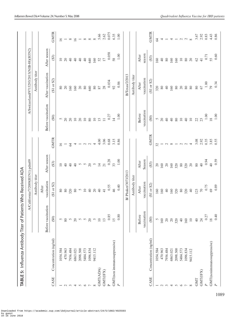|                       | TABLE 5: Influenza Antibody Titer of Patients Who Received ADA |                    |                                 |                 |                                               |                           |                                          |                 |                  |
|-----------------------|----------------------------------------------------------------|--------------------|---------------------------------|-----------------|-----------------------------------------------|---------------------------|------------------------------------------|-----------------|------------------|
|                       |                                                                |                    | A/California/7/2009(H1N1) pdm09 |                 |                                               |                           | A/Switzerland/9715293/2013(NIB-88)(H3N2) |                 |                  |
|                       |                                                                |                    | Antibody titer                  |                 |                                               |                           | Antibody titer                           |                 |                  |
|                       |                                                                | Before vaccination | vaccination<br>After            | After season    |                                               | <b>Before</b> vaccination | After vaccination                        | After season    |                  |
| CASE                  | Concentration (ng/ml)                                          | (S0)               | $(S1 \text{ or } S2)$           | (S3)            | <b>GMTR</b>                                   | (S0)                      | $(S1 \text{ or } S2)$                    | (S3)            | GMTR             |
|                       | 1054.584                                                       | 5                  | $\rm 80$                        | $\overline{10}$ | $\geq$                                        | $\sim$                    | $\rm 80$                                 | $10\,$          | $\geq$           |
| $\sim$                | 470.963                                                        | $80\,$             | $\rm 80$                        | $\overline{40}$ | $\overline{ }$                                | $\overline{c}$            | $20\,$                                   | $20\,$          |                  |
| $\tilde{\phantom{a}}$ | 7956.484                                                       | $\sim$             | 320                             | $\overline{40}$ | $\mathcal{A}$                                 | $\overline{c}$            | 160                                      | $\sqrt{4}$      | $\infty$         |
| 4                     | 6863.021                                                       | 20                 | $\rm 80$                        | $\overline{40}$ | 4                                             | $\overline{10}$           | 160                                      | $\sqrt{4}$      | 16               |
| $\sim$                | 2098.500                                                       | $5 - 5$            | $\sim$                          | 5<br>5<br>5     |                                               | $\Omega$                  | $20\,$                                   | $\overline{40}$ |                  |
| $\circ$               | 5484.573                                                       |                    | $10\,$                          |                 | $\sim$                                        | $10$                      | $\rm 80$                                 | $\overline{40}$ | $\infty$         |
| $\overline{ }$        | 1096.834                                                       | 20                 | $\overline{4}$                  | $\overline{c}$  | $\sim$                                        | $80\,$                    | 640                                      | 640             | $\infty$         |
| $\infty$              | 9415.112                                                       | $\sim$             | $\overline{c}$                  | $\gamma$        | 4                                             | $\overline{10}$           | $\rm 80$                                 | 160             | $\infty$         |
| GMT(ADA)              |                                                                | $\overline{10}$    | $\overline{40}$                 | $\frac{4}{2}$   | 4.00                                          | 15                        | $87\,$                                   | 52              |                  |
| GMT(IFX)              |                                                                | 13                 | $\frac{1}{4}$                   |                 | 3.06                                          | $\Box$                    | 28                                       | 17              | $5.66$<br>$2.62$ |
| $\sim$                |                                                                | 0.85               | 0.55                            | 0.28            | 0.68                                          | 0.27                      | 0.034                                    | 0.058           | 0.075            |
|                       | GMT(non immunosuppressive)                                     | 15                 | 46                              | 33              | 3.15                                          | $\overline{14}$           | 92                                       | 58              | 6.35             |
| P                     |                                                                | 0.80               | 0.40                            | $1.00\,$        | 0.86                                          | $1.00\,$                  | 0.86                                     | $1.00\,$        | 1.00             |
|                       |                                                                |                    | B/Phuket/3073/2013              |                 |                                               |                           | B/Texas/2/2013                           |                 |                  |
|                       |                                                                |                    | Antibody titer                  |                 |                                               |                           | Antibody titer                           |                 |                  |
|                       |                                                                | Before             | After                           | After           |                                               | <b>Before</b>             | After                                    | After           |                  |
|                       |                                                                | vaccination        | vaccination                     | Season          |                                               | vaccination               | vaccination                              | season          |                  |
| CASE                  | Concentration (ng/ml)                                          | (S0)               | (S1 or S2)                      | (S3)            | <b>GMTR</b>                                   | (S0)                      | (S1 or S2)                               | $(S3)$          | <b>GMTR</b>      |
|                       | 1054.584                                                       | 5                  | 160                             | $\gtrsim$       | 32                                            | 5                         | 320                                      | 160             | 2                |
| $\mathbf{C}$          | 470.963                                                        | 160                | 160                             | 160             |                                               | $\overline{c}$            | $\rm 80$                                 | $40$            | 4                |
| $\sim$                | 7956.484                                                       | $20\,$             | $40\,$                          | $20\,$          | $\sim$                                        | $\overline{40}$           | $40$                                     | $\rm 80$        |                  |
| 4                     | 6863.021                                                       | $20\,$             | 160                             | $160\,$         | $\infty$                                      | $\overline{40}$           | $160\,$                                  | 160             | 4                |
| 5                     | 2098.500                                                       | 320                | 320                             | 320             | $\overline{\phantom{0}}$                      | $80\,$                    | $\rm 80$                                 | 160             |                  |
| $\circ$               | 5484.573                                                       | $40$               | $\rm 80$                        | $\rm 80$        | $\begin{array}{c} 2 & 1 \\ 2 & 1 \end{array}$ | $\overline{10}$           | $20\,$                                   | $10\,$          | $\sim$ $\sim$    |
| $\overline{r}$        | 1096.834                                                       | 160                | 320                             | 320             |                                               | $\overline{40}$           | $\rm 80$                                 | $\rm 80$        |                  |
| $\infty$              | 9415.112                                                       | $10\,$             | $\oplus$                        | $20\,$          | $\overline{4}$                                | $\overline{10}$           | $\rm 80$                                 | $20\,$          | $\infty$         |
| GMT                   |                                                                | $\overline{40}$    | 123                             | $\rm 80$        | 3.08                                          | $22\,$                    | $\rm 80$                                 | $62$            | 3.67             |
| GMT(IFX)              |                                                                | 24                 | $\sqrt{2}$                      | $\overline{40}$ | 2.92                                          | 23                        | 67                                       | $\frac{1}{4}$   | 2.92             |
| P                     |                                                                | 0.27               | 0.75                            | 0.94            | 0.35                                          | $1.00\,$                  | $1.00\,$                                 | 0.71            | 0.83             |
|                       | GMT (nonimmunosuppressive)                                     | 18                 | 69                              | $\overline{40}$ | 3.85                                          | 18                        | 79                                       | 55              | 4.43             |
| P                     |                                                                | 0.40               | 0.89                            | 0.59            | 0.55                                          | $1.00\,$                  | 0.34                                     | 0.60            | 0.86             |

<span id="page-8-0"></span>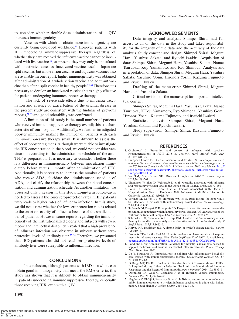to consider whether double-dose administration of a QIV increases immunogenicity.

Vaccines with which to obtain more immunogenicity are currently being developed worldwide.<sup>26</sup> However, patients with IBD undergoing immunosuppressive therapy regardless of whether they have received the influenza vaccine cannot be inocu-lated with live vaccines<sup>[12](#page-9-12)</sup>; at present, they may only be inoculated with inactivated vaccines. Inactivated vaccines used in Japan are split vaccines, but whole virion vaccines and adjuvant vaccines also are available. In one report, higher immunogenicity was obtained after administration of a whole virion vaccine and adjuvant vaccine than after a split vaccine in healthy people[.27–30](#page-10-11) Therefore, it is necessary to develop an inactivated vaccine that is highly effective for patients undergoing immunosuppressive therapy.

 The lack of severe side effects due to influenza vaccination and absence of exacerbation of the original disease in the present study are consistent with the findings of previous reports,<sup>[31](#page-10-12), 32</sup> and good tolerability was confirmed.

A limitation of this study is the small number of patients who received immunosuppressive therapy overall; this is a characteristic of our hospital. Additionally, we further investigated booster immunity, making the number of patients with each immunosuppressive therapy small. It is difficult to assess the effect of booster regimens. Although we were able to investigate the IFX concentration in the blood, we could not consider vaccination according to the administration schedule of the anti-TNF- $\alpha$  preparation. It is necessary to consider whether there is a difference in immunogenicity between inoculation immediately before versus 1 month after administration of IFX. Additionally, it is necessary to increase the number of patients who receive ADA, elucidate the administration schedule of ADA, and clarify the relationship between the blood concentration and administration schedule. As another limitation, we observed only 1 season in this study. Long-term follow-up is needed to assess if the lower seroprotection rates in IBD patients truly leads to higher rates of influenza infection. In this study, we did not assess whether the low seroprotection rate is related to the onset or severity of influenza because of the smalle number of patients. However, some reports regarding the immunogenicity of the institutionalized elderly and subjects with severe motor and intellectual disability revealed that a high prevalence of influenza infection was observed in subjects without seroprotective levels of antibody titer.<sup>33, 34</sup> Therefore, we presumed that IBD patients who did not reach seroprotective levels of antibody titer were susceptible to influenza infection.

#### **CONCLUSIONS**

In conclusion, although patients with IBD as a whole can obtain good immunogenicity that meets the EMA criteria, this study has shown that it is difficult to obtain immunogenicity in patients undergoing immunosuppressive therapy, especially those receiving IFX, even with a QIV.

#### **ACKNOWLEDGEMENTS**

Data integrity and analysis: Shimpei Shirai had full access to all of the data in the study and takes responsibility for the integrity of the data and the accuracy of the data analysis. Study concept and design: Shimpei Shirai, Megumi Hara, Yasuhisa Sakata, and Ryuichi Iwakiri. Acquisition of data: Shimpei Shirai, Megumi Hara, Yasuhisa Sakata, Nanae. Tsuruoka, Koji Yamamoto, and Ryo Shimoda. Analysis and interpretation of data: Shimpei Shirai, Megumi Hara, Yasuhisa Sakata, Yasuhiro Gomi, Hironori Yoshii, Kazuma Fujimoto, and Ryuichi Iwakiri.

Drafting of the manuscript: Shimpei Shirai, Megumi Hara, and Yasuhisa Sakata.

Critical revision of the manuscript for important intellectual content:

Shimpei Shirai, Megumi Hara, Yasuhisa Sakata, Nanae Tsuruoka, KKoji Yamamoto, Ryo Shimoda, Yasuhiro Gomi, Hironori Yoshii, Kazuma Fujimoto, and Ryuichi Iwakiri.

Statistical analysis: Shimpei Shirai, Megumi Hara, Yasuhisa Sakata, and Ryuichi Iwakiri.

Study supervision: Shimpei Shirai, Kazuma Fujimoto, and Ryuichi Iwakiri.

#### **REFERENCES**

- <span id="page-9-0"></span>1. Grohskopf L. Prevention and control of influenza with vaccines-Recommendations of ACIP 2015–16. *MMWR Morb Mortal Wkly Rep*. 2015;64:818–25.
- <span id="page-9-1"></span>2. European Centre for Disease Prevention and Control. *Seasonal influenza vaccination in Europe - Overview of vaccination recommendations and coverage rates in the EU Member States for the 2012–13 influenza season*. 2015. Available at: [http://](http://ecdc.europa.eu/en/publications/Publications/Seasonal-influenza-vaccination-Europe-2012–13.pdf) [ecdc.europa.eu/en/publications/Publications/Seasonal-influenza-vaccination-](http://ecdc.europa.eu/en/publications/Publications/Seasonal-influenza-vaccination-Europe-2012–13.pdf)[Europe-2012–13.pdf](http://ecdc.europa.eu/en/publications/Publications/Seasonal-influenza-vaccination-Europe-2012–13.pdf).
- <span id="page-9-2"></span>3. Vol TM, Surveillance NE, Diseases I. *Influenza 2014/15 season, Japan*. 2015;36:199–201.
- <span id="page-9-3"></span>4. Thompson W, Shay D, Weintraub E, et al. Mortality associated with influenza and respiratory syncytial virus in the United States. *JAMA*. 2003;289:179–186.
- <span id="page-9-4"></span>5. Louie JK, Winter K, Jean C, et al. Factors Associated With Death or Hospitalization Due to Pandemic 2009 Influenza A (H1N1) Infection in California. *JAMA*. 2014;302:1896.
- <span id="page-9-5"></span>6. Toruner M, Loftus EV Jr, Harmsen WS, et al. Risk factors for opportunistic infections in patients with inflammatory bowel disease. *Gastroenterology*. 2008;134:929–36.
- <span id="page-9-6"></span>7. Stobaugh DJ, Deepak P, Ehrenpreis ED. Hospitalizations for vaccine preventable pneumonias in patients with inflammatory bowel disease: A 6-year analysis of the Nationwide Inpatient Sample. *Clin Exp Gastroenterol*. 2013;6:43–9.
- <span id="page-9-7"></span>8. Schroeder KW, Tremaine WJ, Ilstrup DM. Coated oral 5-aminosalicylic acid therapy for mildly to moderately active ulcerative colitis. A randomized study. *N Engl J Med*. 1987;317:1625–9.
- <span id="page-9-9"></span>9. Harvey RF, Bradshaw JM. A simple index of crohn's-disease activity. *Lancet*. 1980;1:514.
- <span id="page-9-10"></span>10. Products TEA for the E of M. Note for guidence on harmonisation of requirements for influenza vaccines. *Www.Eudra.Org/Emea.Html*. 1997:19. Available at: [papers2://publication/uuid/7E854D66-AE8B-421B-8348-D79C29F3B985.](http://papers2://publication/uuid/7E854D66-AE8B-421B-8348-D79C29F3B985)
- <span id="page-9-11"></span>11. Food and Drug Administration. Guidance for industry: clinical data needed to support the licensure of seasonal inactivated influenza vaccines. *Rockv. US Dep. Heal. Hum. Serv*. 2007.
- <span id="page-9-12"></span>12. Lu Y, Bousvaros A. Immunizations in children with inflammatory bowel disease treated with immunosuppressive therapy. *Gastroenterol Hepatol (N. Y)*. 2014;10:355–63.
- <span id="page-9-13"></span>13. DeBerge MP, Ely KH, Enelow RI. Soluble, but Not Transmembrane, TNF-α Is Required during Influenza Infection To Limit the Magnitude of Immune Responses and the Extent of Immunopathology. *J Immunol*. 2014;192:5839–51.
- <span id="page-9-14"></span>14. Dormitzer PR, Galli G, Castellino F, et al. Influenza vaccine immunology. *Immunol Rev*. 2011;239:167–77.
- <span id="page-9-8"></span>15. Hagihara Y, Ohfuji S, Watanabe K, et al. Infliximab and/or immunomodulators inhibit immune responses to trivalent influenza vaccination in adults with inflammatory bowel disease. *J Crohn's Colitis*. 2014;8:223–33.